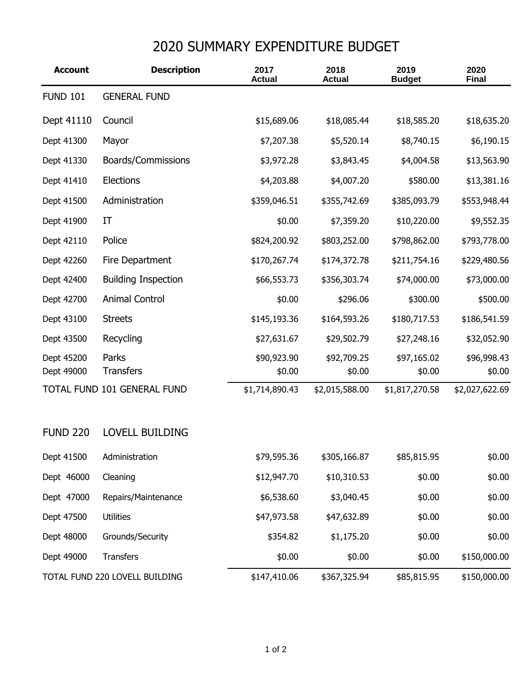## 2020 SUMMARY EXPENDITURE BUDGET

| <b>Account</b>                 | <b>Description</b>          | 2017<br><b>Actual</b> | 2018<br><b>Actual</b> | 2019<br><b>Budget</b> | 2020<br><b>Final</b>  |
|--------------------------------|-----------------------------|-----------------------|-----------------------|-----------------------|-----------------------|
| <b>FUND 101</b>                | <b>GENERAL FUND</b>         |                       |                       |                       |                       |
| Dept 41110                     | Council                     | \$15,689.06           | \$18,085.44           | \$18,585.20           | \$18,635.20           |
| Dept 41300                     | Mayor                       | \$7,207.38            | \$5,520.14            | \$8,740.15            | \$6,190.15            |
| Dept 41330                     | Boards/Commissions          | \$3,972.28            | \$3,843.45            | \$4,004.58            | \$13,563.90           |
| Dept 41410                     | Elections                   | \$4,203.88            | \$4,007.20            | \$580.00              | \$13,381.16           |
| Dept 41500                     | Administration              | \$359,046.51          | \$355,742.69          | \$385,093.79          | \$553,948.44          |
| Dept 41900                     | ΙT                          | \$0.00                | \$7,359.20            | \$10,220.00           | \$9,552.35            |
| Dept 42110                     | Police                      | \$824,200.92          | \$803,252.00          | \$798,862.00          | \$793,778.00          |
| Dept 42260                     | Fire Department             | \$170,267.74          | \$174,372.78          | \$211,754.16          | \$229,480.56          |
| Dept 42400                     | <b>Building Inspection</b>  | \$66,553.73           | \$356,303.74          | \$74,000.00           | \$73,000.00           |
| Dept 42700                     | <b>Animal Control</b>       | \$0.00                | \$296.06              | \$300.00              | \$500.00              |
| Dept 43100                     | <b>Streets</b>              | \$145,193.36          | \$164,593.26          | \$180,717.53          | \$186,541.59          |
| Dept 43500                     | Recycling                   | \$27,631.67           | \$29,502.79           | \$27,248.16           | \$32,052.90           |
| Dept 45200<br>Dept 49000       | Parks<br><b>Transfers</b>   | \$90,923.90<br>\$0.00 | \$92,709.25<br>\$0.00 | \$97,165.02<br>\$0.00 | \$96,998.43<br>\$0.00 |
|                                | TOTAL FUND 101 GENERAL FUND | \$1,714,890.43        | \$2,015,588.00        | \$1,817,270.58        | \$2,027,622.69        |
| <b>FUND 220</b>                | <b>LOVELL BUILDING</b>      |                       |                       |                       |                       |
| Dept 41500                     | Administration              | \$79,595.36           | \$305,166.87          | \$85,815.95           | \$0.00                |
| Dept 46000                     | Cleaning                    | \$12,947.70           | \$10,310.53           | \$0.00                | \$0.00                |
| Dept 47000                     | Repairs/Maintenance         | \$6,538.60            | \$3,040.45            | \$0.00                | \$0.00                |
| Dept 47500                     | <b>Utilities</b>            | \$47,973.58           | \$47,632.89           | \$0.00                | \$0.00                |
| Dept 48000                     | Grounds/Security            | \$354.82              | \$1,175.20            | \$0.00                | \$0.00                |
| Dept 49000                     | <b>Transfers</b>            | \$0.00                | \$0.00                | \$0.00                | \$150,000.00          |
| TOTAL FUND 220 LOVELL BUILDING |                             | \$147,410.06          | \$367,325.94          | \$85,815.95           | \$150,000.00          |